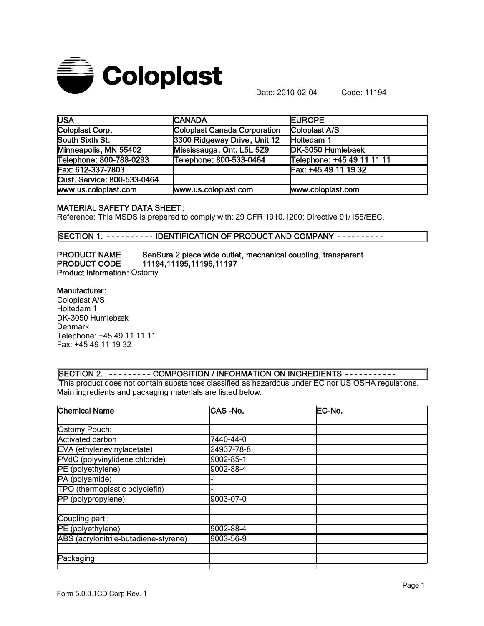

Date: 2010-02-04 Code: 11194

| <b>USA</b>                  | <b>CANADA</b>                | <b>EUROPE</b>              |
|-----------------------------|------------------------------|----------------------------|
| Coloplast Corp.             | Coloplast Canada Corporation | Coloplast A/S              |
| South Sixth St.             | 3300 Ridgeway Drive, Unit 12 | Holtedam 1                 |
| Minneapolis, MN 55402       | Mississauga, Ont. L5L 5Z9    | DK-3050 Humlebaek          |
| Telephone: 800-788-0293     | Telephone: 800-533-0464      | Telephone: +45 49 11 11 11 |
| Fax: 612-337-7803           |                              | Fax: +45 49 11 19 32       |
| Cust. Service: 800-533-0464 |                              |                            |
| www.us.coloplast.com        | www.us.coloplast.com         | www.coloplast.com          |

### MATERIAL SAFETY DATA SHEET:

Reference: This MSDS is prepared to comply with: 29 CFR 1910.1200; Directive 91/155/EEC.

SECTION 1. - - - - - - - - - IDENTIFICATION OF PRODUCT AND COMPANY - - - - - - - - -

PRODUCT NAME SenSura 2 piece wide outlet, mechanical coupling, transparent PRODUCT CODE 11194,11195,11196,11197 Product Information: Ostomy

### Manufacturer:

Coloplast A/S Holtedam 1 DK-3050 Humlebæk **Denmark** Telephone: +45 49 11 11 11 Fax: +45 49 11 19 32

### SECTION 2. - - - - - - - - - COMPOSITION / INFORMATION ON INGREDIENTS - - - - - - - - - - -

.This product does not contain substances classified as hazardous under EC nor US OSHA regulations. Main ingredients and packaging materials are listed below.

| <b>Chemical Name</b>                  | CAS-No.    | EC-No. |
|---------------------------------------|------------|--------|
|                                       |            |        |
| Ostomy Pouch:                         |            |        |
| Activated carbon                      | 7440-44-0  |        |
| EVA (ethylenevinylacetate)            | 24937-78-8 |        |
| PVdC (polyvinylidene chloride)        | 9002-85-1  |        |
| PE (polyethylene)                     | 9002-88-4  |        |
| PA (polyamide)                        |            |        |
| TPO (thermoplastic polyolefin)        |            |        |
| PP (polypropylene)                    | 9003-07-0  |        |
|                                       |            |        |
| Coupling part:                        |            |        |
| PE (polyethylene)                     | 9002-88-4  |        |
| ABS (acrylonitrile-butadiene-styrene) | 9003-56-9  |        |
|                                       |            |        |
| Packaging:                            |            |        |
|                                       |            |        |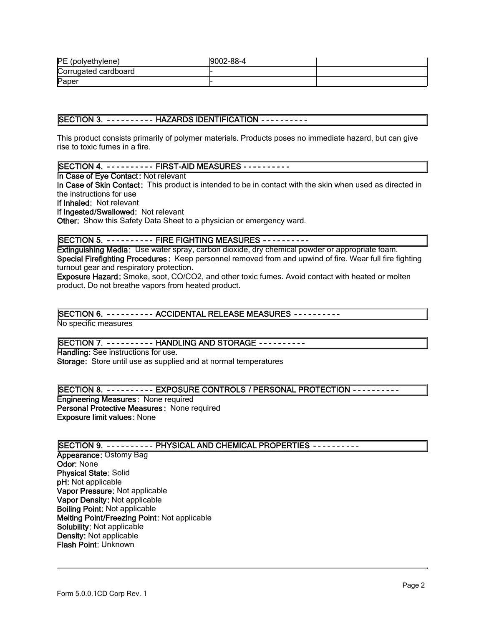| PE (polyethylene)    | 9002-88-4 |  |
|----------------------|-----------|--|
| Corrugated cardboard |           |  |
| Paper                |           |  |

### SECTION 3. - - - - - - - - - - HAZARDS IDENTIFICATION - - - - - - - - - -

This product consists primarily of polymer materials. Products poses no immediate hazard, but can give rise to toxic fumes in a fire.

# SECTION 4. - - - - - - - - - - FIRST-AID MEASURES - - - - - - - - - -

In Case of Eye Contact: Not relevant

In Case of Skin Contact: This product is intended to be in contact with the skin when used as directed in the instructions for use

If Inhaled: Not relevant

If Ingested/Swallowed: Not relevant

Other: Show this Safety Data Sheet to a physician or emergency ward.

## SECTION 5. - - - - - - - - - FIRE FIGHTING MEASURES - - - - - - - - - -

Extinguishing Media: Use water spray, carbon dioxide, dry chemical powder or appropriate foam. Special Firefighting Procedures: Keep personnel removed from and upwind of fire. Wear full fire fighting turnout gear and respiratory protection.

Exposure Hazard: Smoke, soot, CO/CO2, and other toxic fumes. Avoid contact with heated or molten product. Do not breathe vapors from heated product.

## SECTION 6. - - - - - - - - - ACCIDENTAL RELEASE MEASURES - - - - - - - - - -

No specific measures

### SECTION 7. - - - - - - - - - HANDLING AND STORAGE - - - - - - - - - -

Handling: See instructions for use. Storage: Store until use as supplied and at normal temperatures

### SECTION 8. - - - - - - - - - EXPOSURE CONTROLS / PERSONAL PROTECTION - - - - - - - - - -

Engineering Measures: None required Personal Protective Measures : None required Exposure limit values: None

## SECTION 9. - - - - - - - - - - PHYSICAL AND CHEMICAL PROPERTIES - - - - - - - - -

Appearance: Ostomy Bag Odor: None Physical State: Solid pH: Not applicable Vapor Pressure: Not applicable Vapor Density: Not applicable Boiling Point: Not applicable Melting Point/Freezing Point: Not applicable Solubility: Not applicable Density: Not applicable Flash Point: Unknown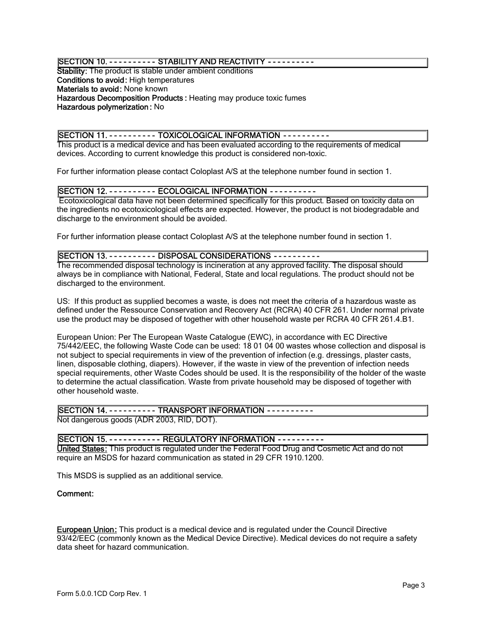### SECTION 10. - - - - - - - - - - STABILITY AND REACTIVITY - - - - - - - - - -

Stability: The product is stable under ambient conditions Conditions to avoid: High temperatures Materials to avoid: None known Hazardous Decomposition Products : Heating may produce toxic fumes Hazardous polymerization : No

### SECTION 11. - - - - - - - - - - TOXICOLOGICAL INFORMATION - - - - - - - - - -

This product is a medical device and has been evaluated according to the requirements of medical devices. According to current knowledge this product is considered non-toxic.

For further information please contact Coloplast A/S at the telephone number found in section 1.

## SECTION 12. - - - - - - - - - ECOLOGICAL INFORMATION - - - - - - - - - -

 Ecotoxicological data have not been determined specifically for this product. Based on toxicity data on the ingredients no ecotoxicological effects are expected. However, the product is not biodegradable and discharge to the environment should be avoided.

For further information please contact Coloplast A/S at the telephone number found in section 1.

### SECTION 13. - - - - - - - - - - DISPOSAL CONSIDERATIONS - - - - - - - - - -

The recommended disposal technology is incineration at any approved facility. The disposal should always be in compliance with National, Federal, State and local regulations. The product should not be discharged to the environment.

US: If this product as supplied becomes a waste, is does not meet the criteria of a hazardous waste as defined under the Ressource Conservation and Recovery Act (RCRA) 40 CFR 261. Under normal private use the product may be disposed of together with other household waste per RCRA 40 CFR 261.4.B1.

European Union: Per The European Waste Catalogue (EWC), in accordance with EC Directive 75/442/EEC, the following Waste Code can be used: 18 01 04 00 wastes whose collection and disposal is not subject to special requirements in view of the prevention of infection (e.g. dressings, plaster casts, linen, disposable clothing, diapers). However, if the waste in view of the prevention of infection needs special requirements, other Waste Codes should be used. It is the responsibility of the holder of the waste to determine the actual classification. Waste from private household may be disposed of together with other household waste.

## SECTION 14. - - - - - - - - - TRANSPORT INFORMATION - - - - - - - - - -

Not dangerous goods (ADR 2003, RID, DOT).

### SECTION 15. - - - - - - - - - - - REGULATORY INFORMATION - - - - - - - - - -

United States: This product is regulated under the Federal Food Drug and Cosmetic Act and do not require an MSDS for hazard communication as stated in 29 CFR 1910.1200.

This MSDS is supplied as an additional service.

### Comment:

European Union: This product is a medical device and is regulated under the Council Directive 93/42/EEC (commonly known as the Medical Device Directive). Medical devices do not require a safety data sheet for hazard communication.